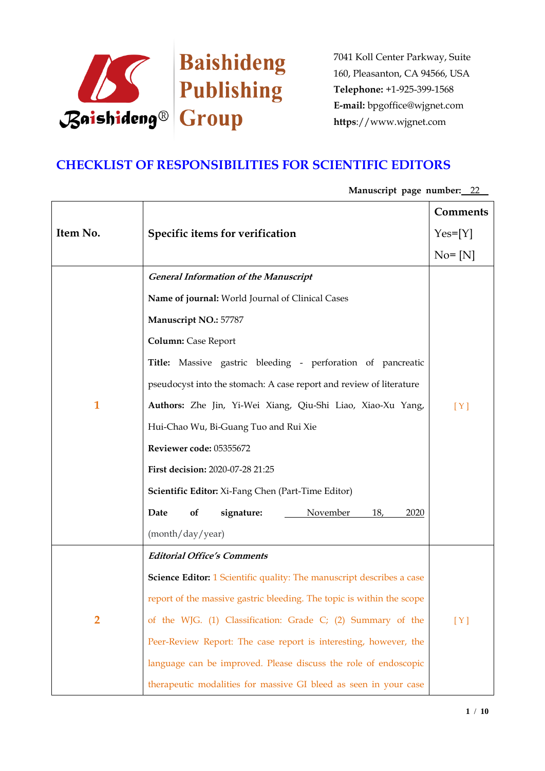

# **CHECKLIST OF RESPONSIBILITIES FOR SCIENTIFIC EDITORS**

|                |                                                                              | Comments   |
|----------------|------------------------------------------------------------------------------|------------|
| Item No.       | Specific items for verification                                              | $Yes=[Y]$  |
|                |                                                                              | $No = [N]$ |
|                | <b>General Information of the Manuscript</b>                                 |            |
|                | Name of journal: World Journal of Clinical Cases                             |            |
|                | Manuscript NO.: 57787                                                        |            |
|                | <b>Column:</b> Case Report                                                   |            |
|                | Title: Massive gastric bleeding - perforation of pancreatic                  |            |
|                | pseudocyst into the stomach: A case report and review of literature          |            |
| 1              | Authors: Zhe Jin, Yi-Wei Xiang, Qiu-Shi Liao, Xiao-Xu Yang,                  | [Y]        |
|                | Hui-Chao Wu, Bi-Guang Tuo and Rui Xie                                        |            |
|                | Reviewer code: 05355672                                                      |            |
|                | First decision: 2020-07-28 21:25                                             |            |
|                | <b>Scientific Editor:</b> Xi-Fang Chen (Part-Time Editor)                    |            |
|                | November<br>Date<br>of<br>signature:<br>18,<br>2020                          |            |
|                | (month/day/year)                                                             |            |
|                | <b>Editorial Office's Comments</b>                                           |            |
|                | <b>Science Editor:</b> 1 Scientific quality: The manuscript describes a case |            |
|                | report of the massive gastric bleeding. The topic is within the scope        |            |
| $\overline{2}$ | of the WJG. (1) Classification: Grade C; (2) Summary of the                  | [Y]        |
|                | Peer-Review Report: The case report is interesting, however, the             |            |
|                | language can be improved. Please discuss the role of endoscopic              |            |
|                | therapeutic modalities for massive GI bleed as seen in your case             |            |

## **Manuscript page number:** 22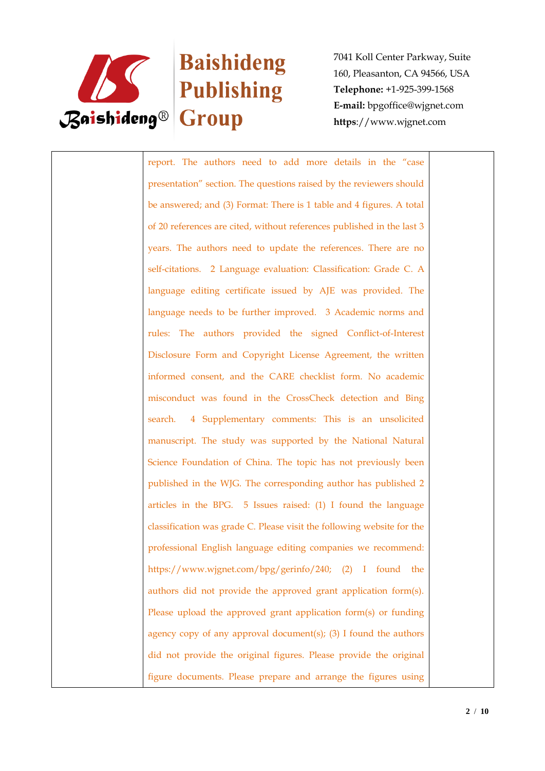

# Baishideng

7041 Koll Center Parkway, Suite 160, Pleasanton, CA 94566, USA **Telephone:** +1-925-399-1568 **E-mail:** bpgoffice@wjgnet.com **https**://www.wjgnet.com

report. The authors need to add more details in the "case presentation" section. The questions raised by the reviewers should be answered; and (3) Format: There is 1 table and 4 figures. A total of 20 references are cited, without references published in the last 3 years. The authors need to update the references. There are no self-citations. 2 Language evaluation: Classification: Grade C. A language editing certificate issued by AJE was provided. The language needs to be further improved. 3 Academic norms and rules: The authors provided the signed Conflict-of-Interest Disclosure Form and Copyright License Agreement, the written informed consent, and the CARE checklist form. No academic misconduct was found in the CrossCheck detection and Bing search. 4 Supplementary comments: This is an unsolicited manuscript. The study was supported by the National Natural Science Foundation of China. The topic has not previously been published in the WJG. The corresponding author has published 2 articles in the BPG. 5 Issues raised: (1) I found the language classification was grade C. Please visit the following website for the professional English language editing companies we recommend: https://www.wjgnet.com/bpg/gerinfo/240; (2) I found the authors did not provide the approved grant application form(s). Please upload the approved grant application form(s) or funding agency copy of any approval document(s); (3) I found the authors did not provide the original figures. Please provide the original figure documents. Please prepare and arrange the figures using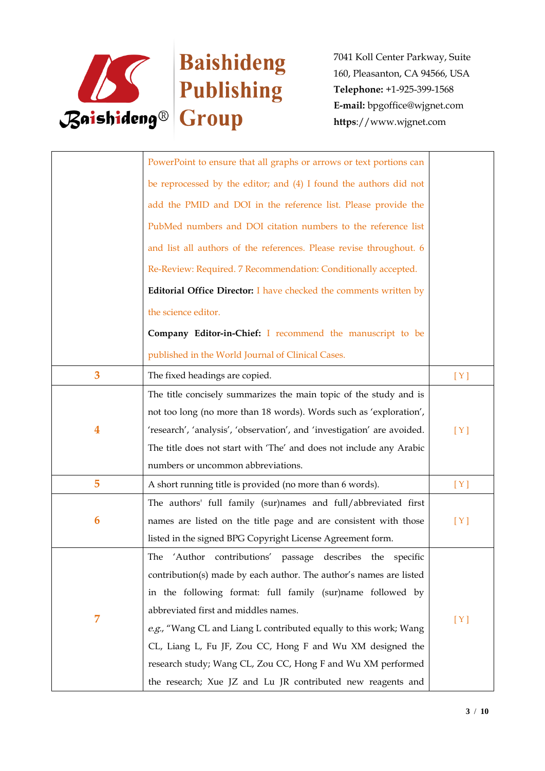

|   | PowerPoint to ensure that all graphs or arrows or text portions can     |     |
|---|-------------------------------------------------------------------------|-----|
|   | be reprocessed by the editor; and (4) I found the authors did not       |     |
|   | add the PMID and DOI in the reference list. Please provide the          |     |
|   | PubMed numbers and DOI citation numbers to the reference list           |     |
|   | and list all authors of the references. Please revise throughout. 6     |     |
|   | Re-Review: Required. 7 Recommendation: Conditionally accepted.          |     |
|   | Editorial Office Director: I have checked the comments written by       |     |
|   | the science editor.                                                     |     |
|   | Company Editor-in-Chief: I recommend the manuscript to be               |     |
|   | published in the World Journal of Clinical Cases.                       |     |
| 3 | The fixed headings are copied.                                          | [Y] |
|   | The title concisely summarizes the main topic of the study and is       |     |
|   | not too long (no more than 18 words). Words such as 'exploration',      |     |
| 4 | 'research', 'analysis', 'observation', and 'investigation' are avoided. | [Y] |
|   | The title does not start with 'The' and does not include any Arabic     |     |
|   | numbers or uncommon abbreviations.                                      |     |
| 5 | A short running title is provided (no more than 6 words).               | [Y] |
|   | The authors' full family (sur)names and full/abbreviated first          |     |
| 6 | names are listed on the title page and are consistent with those        | [Y] |
|   | listed in the signed BPG Copyright License Agreement form.              |     |
|   | The 'Author contributions' passage describes the specific               |     |
|   | contribution(s) made by each author. The author's names are listed      |     |
|   | in the following format: full family (sur)name followed by              |     |
|   | abbreviated first and middles names.                                    |     |
| 7 | e.g., "Wang CL and Liang L contributed equally to this work; Wang       | [Y] |
|   | CL, Liang L, Fu JF, Zou CC, Hong F and Wu XM designed the               |     |
|   | research study; Wang CL, Zou CC, Hong F and Wu XM performed             |     |
|   | the research; Xue JZ and Lu JR contributed new reagents and             |     |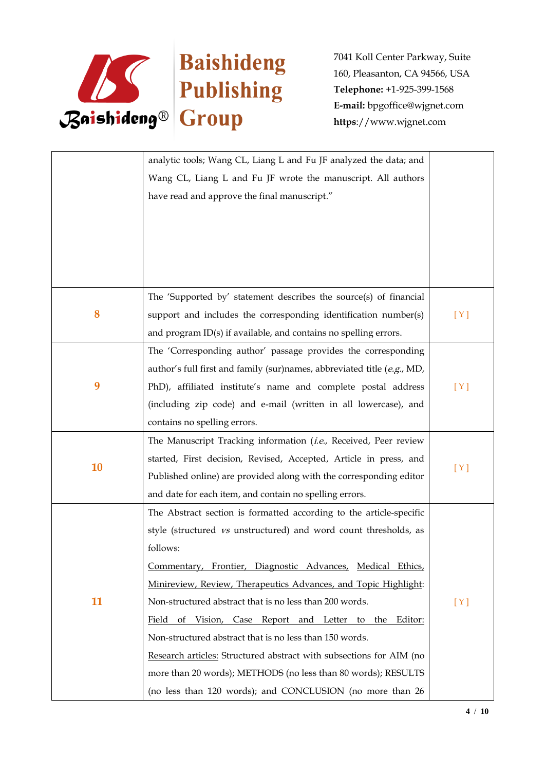

|    | analytic tools; Wang CL, Liang L and Fu JF analyzed the data; and         |     |
|----|---------------------------------------------------------------------------|-----|
|    | Wang CL, Liang L and Fu JF wrote the manuscript. All authors              |     |
|    | have read and approve the final manuscript."                              |     |
|    |                                                                           |     |
|    |                                                                           |     |
|    |                                                                           |     |
|    |                                                                           |     |
|    |                                                                           |     |
|    | The 'Supported by' statement describes the source(s) of financial         |     |
| 8  | support and includes the corresponding identification number(s)           | [Y] |
|    | and program ID(s) if available, and contains no spelling errors.          |     |
|    | The 'Corresponding author' passage provides the corresponding             |     |
|    | author's full first and family (sur)names, abbreviated title $(e.g., MD,$ |     |
| 9  | PhD), affiliated institute's name and complete postal address             | [Y] |
|    | (including zip code) and e-mail (written in all lowercase), and           |     |
|    | contains no spelling errors.                                              |     |
|    | The Manuscript Tracking information (i.e., Received, Peer review          |     |
|    | started, First decision, Revised, Accepted, Article in press, and         |     |
| 10 | Published online) are provided along with the corresponding editor        | [Y] |
|    | and date for each item, and contain no spelling errors.                   |     |
|    | The Abstract section is formatted according to the article-specific       |     |
|    | style (structured vs unstructured) and word count thresholds, as          |     |
|    | follows:                                                                  |     |
|    | Commentary, Frontier, Diagnostic Advances, Medical Ethics,                |     |
|    | Minireview, Review, Therapeutics Advances, and Topic Highlight:           |     |
| 11 | Non-structured abstract that is no less than 200 words.                   | [Y] |
|    | Field of Vision, Case Report and Letter to the Editor:                    |     |
|    | Non-structured abstract that is no less than 150 words.                   |     |
|    | Research articles: Structured abstract with subsections for AIM (no       |     |
|    | more than 20 words); METHODS (no less than 80 words); RESULTS             |     |
|    | (no less than 120 words); and CONCLUSION (no more than 26                 |     |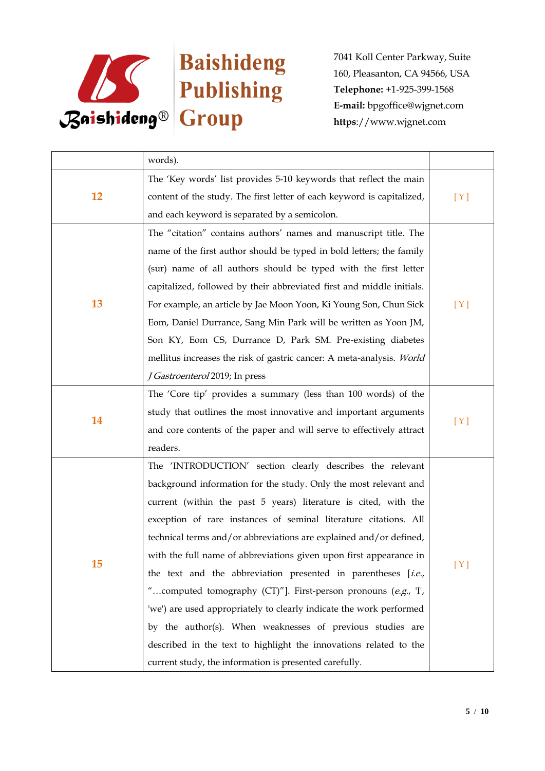

|    | words).                                                                |     |
|----|------------------------------------------------------------------------|-----|
| 12 | The 'Key words' list provides 5-10 keywords that reflect the main      | [Y] |
|    | content of the study. The first letter of each keyword is capitalized, |     |
|    | and each keyword is separated by a semicolon.                          |     |
|    | The "citation" contains authors' names and manuscript title. The       |     |
|    | name of the first author should be typed in bold letters; the family   |     |
|    | (sur) name of all authors should be typed with the first letter        |     |
|    | capitalized, followed by their abbreviated first and middle initials.  |     |
| 13 | For example, an article by Jae Moon Yoon, Ki Young Son, Chun Sick      | [Y] |
|    | Eom, Daniel Durrance, Sang Min Park will be written as Yoon JM,        |     |
|    | Son KY, Eom CS, Durrance D, Park SM. Pre-existing diabetes             |     |
|    | mellitus increases the risk of gastric cancer: A meta-analysis. World  |     |
|    | J Gastroenterol 2019; In press                                         |     |
|    | The 'Core tip' provides a summary (less than 100 words) of the         | [Y] |
|    | study that outlines the most innovative and important arguments        |     |
| 14 | and core contents of the paper and will serve to effectively attract   |     |
|    | readers.                                                               |     |
|    | The 'INTRODUCTION' section clearly describes the relevant              | [Y] |
|    | background information for the study. Only the most relevant and       |     |
|    | current (within the past 5 years) literature is cited, with the        |     |
|    | exception of rare instances of seminal literature citations. All       |     |
|    | technical terms and/or abbreviations are explained and/or defined,     |     |
|    | with the full name of abbreviations given upon first appearance in     |     |
| 15 | the text and the abbreviation presented in parentheses [i.e.,          |     |
|    | "computed tomography (CT)"]. First-person pronouns (e.g., T,           |     |
|    | 'we') are used appropriately to clearly indicate the work performed    |     |
|    | by the author(s). When weaknesses of previous studies are              |     |
|    | described in the text to highlight the innovations related to the      |     |
|    | current study, the information is presented carefully.                 |     |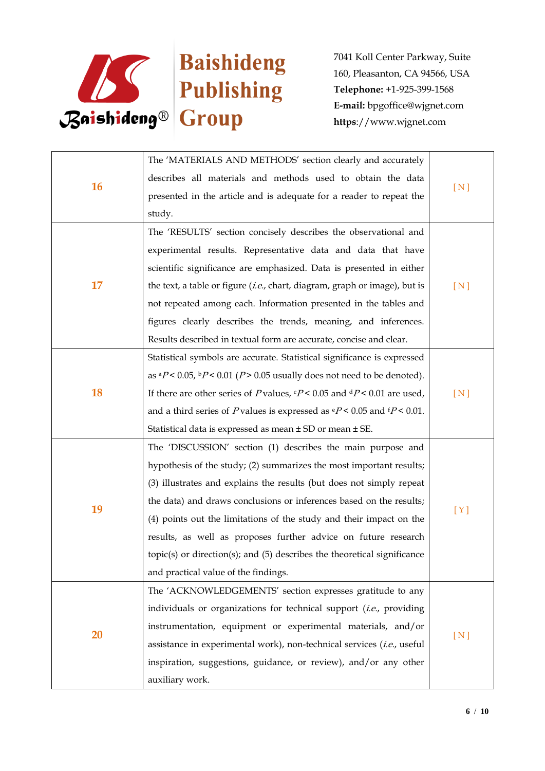

| 16        | The 'MATERIALS AND METHODS' section clearly and accurately                                       |     |
|-----------|--------------------------------------------------------------------------------------------------|-----|
|           | describes all materials and methods used to obtain the data                                      |     |
|           | presented in the article and is adequate for a reader to repeat the                              | [N] |
|           | study.                                                                                           |     |
|           | The 'RESULTS' section concisely describes the observational and                                  |     |
|           | experimental results. Representative data and data that have                                     |     |
|           | scientific significance are emphasized. Data is presented in either                              |     |
| 17        | the text, a table or figure $(i.e.,$ chart, diagram, graph or image), but is                     | [N] |
|           | not repeated among each. Information presented in the tables and                                 |     |
|           | figures clearly describes the trends, meaning, and inferences.                                   |     |
|           | Results described in textual form are accurate, concise and clear.                               |     |
|           | Statistical symbols are accurate. Statistical significance is expressed                          |     |
|           | as ${}^aP$ < 0.05, ${}^bP$ < 0.01 ( $P$ > 0.05 usually does not need to be denoted).             |     |
| <b>18</b> | If there are other series of P values, $P < 0.05$ and $dP < 0.01$ are used,                      | [N] |
|           | and a third series of P values is expressed as $\frac{e}{e}P < 0.05$ and $\frac{f}{e}P < 0.01$ . |     |
|           | Statistical data is expressed as mean ± SD or mean ± SE.                                         |     |
|           | The 'DISCUSSION' section (1) describes the main purpose and                                      |     |
|           | hypothesis of the study; (2) summarizes the most important results;                              |     |
|           | (3) illustrates and explains the results (but does not simply repeat                             |     |
| 19        | the data) and draws conclusions or inferences based on the results;                              |     |
|           | (4) points out the limitations of the study and their impact on the                              | [Y] |
|           | results, as well as proposes further advice on future research                                   |     |
| 20        | $topic(s)$ or direction $(s)$ ; and $(5)$ describes the theoretical significance                 |     |
|           | and practical value of the findings.                                                             |     |
|           | The 'ACKNOWLEDGEMENTS' section expresses gratitude to any                                        |     |
|           | individuals or organizations for technical support (i.e., providing                              |     |
|           | instrumentation, equipment or experimental materials, and/or                                     | [N] |
|           | assistance in experimental work), non-technical services (i.e., useful                           |     |
|           | inspiration, suggestions, guidance, or review), and/or any other                                 |     |
|           | auxiliary work.                                                                                  |     |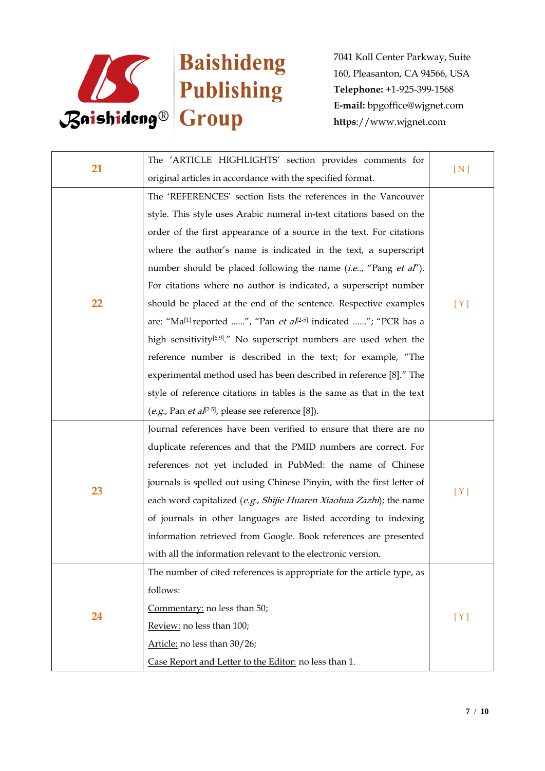

| 21 | The 'ARTICLE HIGHLIGHTS' section provides comments for                                  |     |
|----|-----------------------------------------------------------------------------------------|-----|
|    | original articles in accordance with the specified format.                              | [N] |
|    | The 'REFERENCES' section lists the references in the Vancouver                          |     |
|    | style. This style uses Arabic numeral in-text citations based on the                    |     |
|    | order of the first appearance of a source in the text. For citations                    |     |
|    | where the author's name is indicated in the text, a superscript                         |     |
|    | number should be placed following the name (i.e, "Pang et al").                         |     |
|    | For citations where no author is indicated, a superscript number                        |     |
| 22 | should be placed at the end of the sentence. Respective examples                        | [Y] |
|    | are: "Ma <sup>[1]</sup> reported ", "Pan et al <sup>2-5</sup> ] indicated "; "PCR has a |     |
|    | high sensitivity <sup>[6,9]</sup> ." No superscript numbers are used when the           |     |
|    | reference number is described in the text; for example, "The                            |     |
|    | experimental method used has been described in reference [8]." The                      |     |
|    | style of reference citations in tables is the same as that in the text                  |     |
|    | (e.g., Pan et al <sup>[2-5]</sup> , please see reference [8]).                          |     |
|    | Journal references have been verified to ensure that there are no                       |     |
|    | duplicate references and that the PMID numbers are correct. For                         | [Y] |
|    | references not yet included in PubMed: the name of Chinese                              |     |
|    | journals is spelled out using Chinese Pinyin, with the first letter of                  |     |
| 23 | each word capitalized (e.g., Shijie Huaren Xiaohua Zazhi); the name                     |     |
|    | of journals in other languages are listed according to indexing                         |     |
|    | information retrieved from Google. Book references are presented                        |     |
|    | with all the information relevant to the electronic version.                            |     |
| 24 | The number of cited references is appropriate for the article type, as                  | [Y] |
|    | follows:                                                                                |     |
|    | Commentary: no less than 50;                                                            |     |
|    | Review: no less than 100;                                                               |     |
|    | Article: no less than 30/26;                                                            |     |
|    | Case Report and Letter to the Editor: no less than 1.                                   |     |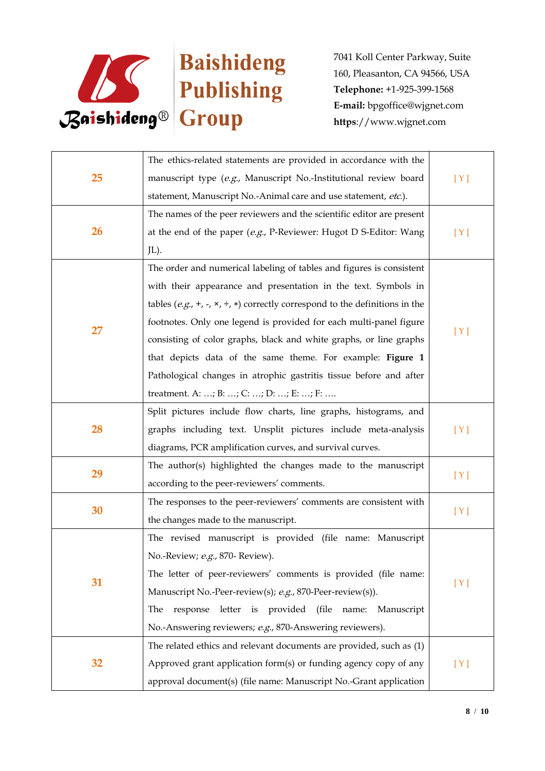

| 25 | The ethics-related statements are provided in accordance with the                         |     |
|----|-------------------------------------------------------------------------------------------|-----|
|    | manuscript type (e.g., Manuscript No.-Institutional review board                          | [Y] |
|    | statement, Manuscript No.-Animal care and use statement, etc.).                           |     |
|    | The names of the peer reviewers and the scientific editor are present                     |     |
| 26 | at the end of the paper (e.g., P-Reviewer: Hugot D S-Editor: Wang                         | [Y] |
|    | JL).                                                                                      |     |
|    | The order and numerical labeling of tables and figures is consistent                      |     |
|    | with their appearance and presentation in the text. Symbols in                            |     |
|    | tables (e.g., +, -, $\times$ , ÷, $\ast$ ) correctly correspond to the definitions in the |     |
| 27 | footnotes. Only one legend is provided for each multi-panel figure                        |     |
|    | consisting of color graphs, black and white graphs, or line graphs                        | [Y] |
|    | that depicts data of the same theme. For example: Figure 1                                |     |
|    | Pathological changes in atrophic gastritis tissue before and after                        |     |
|    | treatment. A: ; B: ; C: ; D: ; E: ; F:                                                    |     |
|    | Split pictures include flow charts, line graphs, histograms, and                          |     |
| 28 | graphs including text. Unsplit pictures include meta-analysis                             | [Y] |
|    | diagrams, PCR amplification curves, and survival curves.                                  |     |
| 29 | The author(s) highlighted the changes made to the manuscript                              |     |
|    | according to the peer-reviewers' comments.                                                | [Y] |
|    | The responses to the peer-reviewers' comments are consistent with                         | [Y] |
| 30 | the changes made to the manuscript.                                                       |     |
|    | The revised manuscript is provided (file name: Manuscript                                 |     |
| 31 | No.-Review; e.g., 870- Review).                                                           |     |
|    | The letter of peer-reviewers' comments is provided (file name:                            | [Y] |
|    | Manuscript No.-Peer-review(s); e.g., 870-Peer-review(s)).                                 |     |
|    | (file)<br>The<br>letter<br>is provided<br>response<br>name:<br>Manuscript                 |     |
|    | No.-Answering reviewers; e.g., 870-Answering reviewers).                                  |     |
|    | The related ethics and relevant documents are provided, such as (1)                       |     |
| 32 | Approved grant application form(s) or funding agency copy of any                          | [Y] |
|    | approval document(s) (file name: Manuscript No.-Grant application                         |     |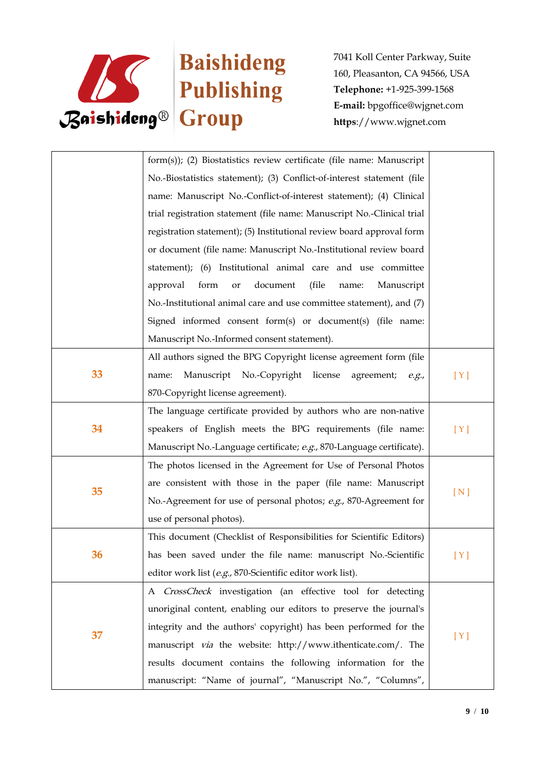

|    | form(s)); (2) Biostatistics review certificate (file name: Manuscript  |       |
|----|------------------------------------------------------------------------|-------|
|    | No.-Biostatistics statement); (3) Conflict-of-interest statement (file |       |
|    | name: Manuscript No.-Conflict-of-interest statement); (4) Clinical     |       |
|    | trial registration statement (file name: Manuscript No.-Clinical trial |       |
|    | registration statement); (5) Institutional review board approval form  |       |
|    | or document (file name: Manuscript No.-Institutional review board      |       |
|    | statement); (6) Institutional animal care and use committee            |       |
|    | form<br>document<br>(file)<br>approval<br>Manuscript<br>or<br>name:    |       |
|    | No.-Institutional animal care and use committee statement), and (7)    |       |
|    | Signed informed consent form(s) or document(s) (file name:             |       |
|    | Manuscript No.-Informed consent statement).                            |       |
|    | All authors signed the BPG Copyright license agreement form (file      |       |
| 33 | Manuscript No.-Copyright license<br>name:<br>agreement;<br>e.g.,       | [Y]   |
|    | 870-Copyright license agreement).                                      |       |
|    | The language certificate provided by authors who are non-native        |       |
| 34 | speakers of English meets the BPG requirements (file name:             | [Y]   |
|    | Manuscript No.-Language certificate; e.g., 870-Language certificate).  |       |
|    | The photos licensed in the Agreement for Use of Personal Photos        |       |
| 35 | are consistent with those in the paper (file name: Manuscript          |       |
|    | No.-Agreement for use of personal photos; e.g., 870-Agreement for      | [ N ] |
|    | use of personal photos).                                               |       |
|    | This document (Checklist of Responsibilities for Scientific Editors)   |       |
| 36 | has been saved under the file name: manuscript No.-Scientific          | [Y]   |
|    | editor work list (e.g., 870-Scientific editor work list).              |       |
|    | A CrossCheck investigation (an effective tool for detecting            |       |
| 37 | unoriginal content, enabling our editors to preserve the journal's     |       |
|    | integrity and the authors' copyright) has been performed for the       |       |
|    | manuscript <i>via</i> the website: http://www.ithenticate.com/. The    | [Y]   |
|    | results document contains the following information for the            |       |
|    | manuscript: "Name of journal", "Manuscript No.", "Columns",            |       |